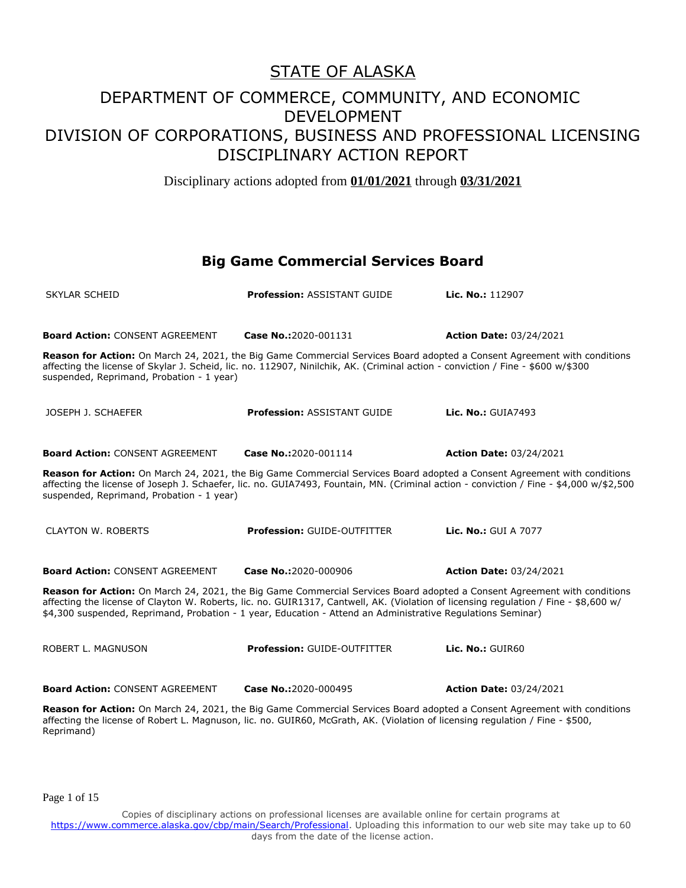Disciplinary actions adopted from **01/01/2021** through **03/31/2021**

#### **Big Game Commercial Services Board**

| <b>SKYLAR SCHEID</b>                                                                                                                                                                                                                                                                                            | <b>Profession: ASSISTANT GUIDE</b>                                                                                                                                                                                                                  | Lic. No.: 112907                                                                                                         |  |
|-----------------------------------------------------------------------------------------------------------------------------------------------------------------------------------------------------------------------------------------------------------------------------------------------------------------|-----------------------------------------------------------------------------------------------------------------------------------------------------------------------------------------------------------------------------------------------------|--------------------------------------------------------------------------------------------------------------------------|--|
| <b>Board Action: CONSENT AGREEMENT</b>                                                                                                                                                                                                                                                                          | Case No.:2020-001131                                                                                                                                                                                                                                | <b>Action Date: 03/24/2021</b>                                                                                           |  |
| suspended, Reprimand, Probation - 1 year)                                                                                                                                                                                                                                                                       | affecting the license of Skylar J. Scheid, lic. no. 112907, Ninilchik, AK. (Criminal action - conviction / Fine - \$600 w/\$300                                                                                                                     | Reason for Action: On March 24, 2021, the Big Game Commercial Services Board adopted a Consent Agreement with conditions |  |
| JOSEPH J. SCHAEFER                                                                                                                                                                                                                                                                                              | <b>Profession: ASSISTANT GUIDE</b>                                                                                                                                                                                                                  | <b>Lic. No.: GUIA7493</b>                                                                                                |  |
| <b>Board Action: CONSENT AGREEMENT</b>                                                                                                                                                                                                                                                                          | Case No.:2020-001114                                                                                                                                                                                                                                | <b>Action Date: 03/24/2021</b>                                                                                           |  |
| Reason for Action: On March 24, 2021, the Big Game Commercial Services Board adopted a Consent Agreement with conditions<br>affecting the license of Joseph J. Schaefer, lic. no. GUIA7493, Fountain, MN. (Criminal action - conviction / Fine - \$4,000 w/\$2,500<br>suspended, Reprimand, Probation - 1 year) |                                                                                                                                                                                                                                                     |                                                                                                                          |  |
| <b>CLAYTON W. ROBERTS</b>                                                                                                                                                                                                                                                                                       | <b>Profession: GUIDE-OUTFITTER</b>                                                                                                                                                                                                                  | Lic. No.: GUI A 7077                                                                                                     |  |
| <b>Board Action: CONSENT AGREEMENT</b>                                                                                                                                                                                                                                                                          | Case No.:2020-000906                                                                                                                                                                                                                                | <b>Action Date: 03/24/2021</b>                                                                                           |  |
|                                                                                                                                                                                                                                                                                                                 | affecting the license of Clayton W. Roberts, lic. no. GUIR1317, Cantwell, AK. (Violation of licensing regulation / Fine - \$8,600 w/<br>\$4,300 suspended, Reprimand, Probation - 1 year, Education - Attend an Administrative Regulations Seminar) | Reason for Action: On March 24, 2021, the Big Game Commercial Services Board adopted a Consent Agreement with conditions |  |
| ROBERT L. MAGNUSON                                                                                                                                                                                                                                                                                              | <b>Profession: GUIDE-OUTFITTER</b>                                                                                                                                                                                                                  | Lic. No.: GUIR60                                                                                                         |  |
| <b>Board Action: CONSENT AGREEMENT</b>                                                                                                                                                                                                                                                                          | Case No.:2020-000495                                                                                                                                                                                                                                | <b>Action Date: 03/24/2021</b>                                                                                           |  |
|                                                                                                                                                                                                                                                                                                                 |                                                                                                                                                                                                                                                     |                                                                                                                          |  |

**Reason for Action:** On March 24, 2021, the Big Game Commercial Services Board adopted a Consent Agreement with conditions affecting the license of Robert L. Magnuson, lic. no. GUIR60, McGrath, AK. (Violation of licensing regulation / Fine - \$500, Reprimand)

Page 1 of 15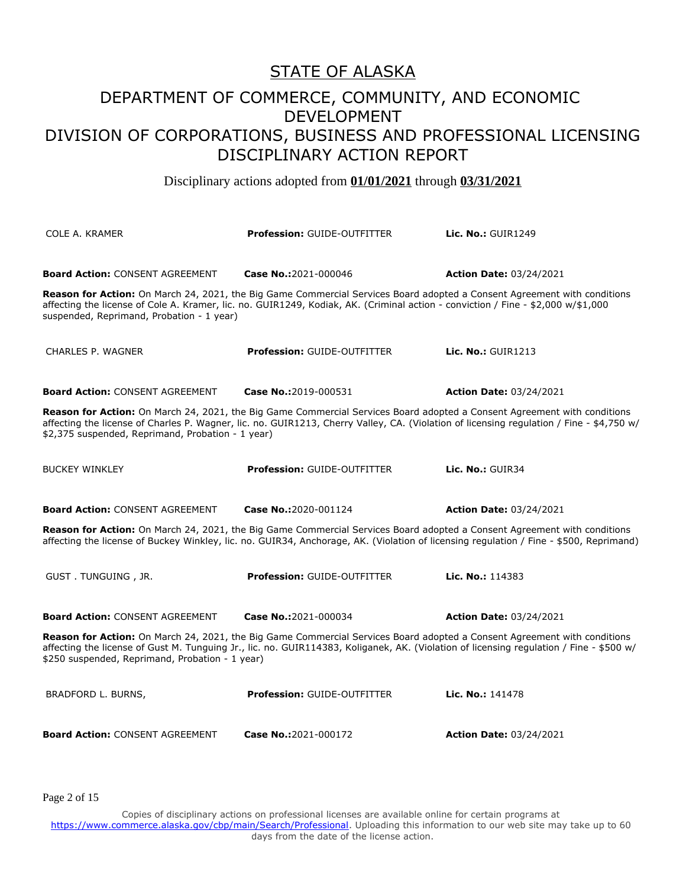Disciplinary actions adopted from **01/01/2021** through **03/31/2021**

| <b>COLE A. KRAMER</b>                                                                                                                                                                                                                                                                                                     | <b>Profession: GUIDE-OUTFITTER</b> | <b>Lic. No.: GUIR1249</b>      |  |
|---------------------------------------------------------------------------------------------------------------------------------------------------------------------------------------------------------------------------------------------------------------------------------------------------------------------------|------------------------------------|--------------------------------|--|
| <b>Board Action: CONSENT AGREEMENT</b><br>Reason for Action: On March 24, 2021, the Big Game Commercial Services Board adopted a Consent Agreement with conditions<br>affecting the license of Cole A. Kramer, lic. no. GUIR1249, Kodiak, AK. (Criminal action - conviction / Fine - \$2,000 w/\$1,000                    | Case No.:2021-000046               | <b>Action Date: 03/24/2021</b> |  |
| suspended, Reprimand, Probation - 1 year)<br><b>CHARLES P. WAGNER</b>                                                                                                                                                                                                                                                     | <b>Profession: GUIDE-OUTFITTER</b> | Lic. $No.:$ GUIR1213           |  |
| <b>Board Action: CONSENT AGREEMENT</b>                                                                                                                                                                                                                                                                                    | Case No.:2019-000531               | <b>Action Date: 03/24/2021</b> |  |
| Reason for Action: On March 24, 2021, the Big Game Commercial Services Board adopted a Consent Agreement with conditions<br>affecting the license of Charles P. Wagner, lic. no. GUIR1213, Cherry Valley, CA. (Violation of licensing regulation / Fine - \$4,750 w/<br>\$2,375 suspended, Reprimand, Probation - 1 year) |                                    |                                |  |
| <b>BUCKEY WINKLEY</b>                                                                                                                                                                                                                                                                                                     | <b>Profession: GUIDE-OUTFITTER</b> | Lic. No.: GUIR34               |  |
| <b>Board Action: CONSENT AGREEMENT</b>                                                                                                                                                                                                                                                                                    | Case No.:2020-001124               | <b>Action Date: 03/24/2021</b> |  |
| Reason for Action: On March 24, 2021, the Big Game Commercial Services Board adopted a Consent Agreement with conditions<br>affecting the license of Buckey Winkley, lic. no. GUIR34, Anchorage, AK. (Violation of licensing regulation / Fine - \$500, Reprimand)                                                        |                                    |                                |  |
| GUST. TUNGUING, JR.                                                                                                                                                                                                                                                                                                       | <b>Profession: GUIDE-OUTFITTER</b> | Lic. No.: 114383               |  |
| <b>Board Action: CONSENT AGREEMENT</b>                                                                                                                                                                                                                                                                                    | Case No.:2021-000034               | <b>Action Date: 03/24/2021</b> |  |
| Reason for Action: On March 24, 2021, the Big Game Commercial Services Board adopted a Consent Agreement with conditions<br>affecting the license of Gust M. Tunguing Jr., lic. no. GUIR114383, Koliganek, AK. (Violation of licensing regulation / Fine - \$500 w/<br>\$250 suspended, Reprimand, Probation - 1 year)    |                                    |                                |  |
| BRADFORD L. BURNS,                                                                                                                                                                                                                                                                                                        | <b>Profession: GUIDE-OUTFITTER</b> | Lic. No.: 141478               |  |
| <b>Board Action: CONSENT AGREEMENT</b>                                                                                                                                                                                                                                                                                    | Case No.:2021-000172               | <b>Action Date: 03/24/2021</b> |  |

Page 2 of 15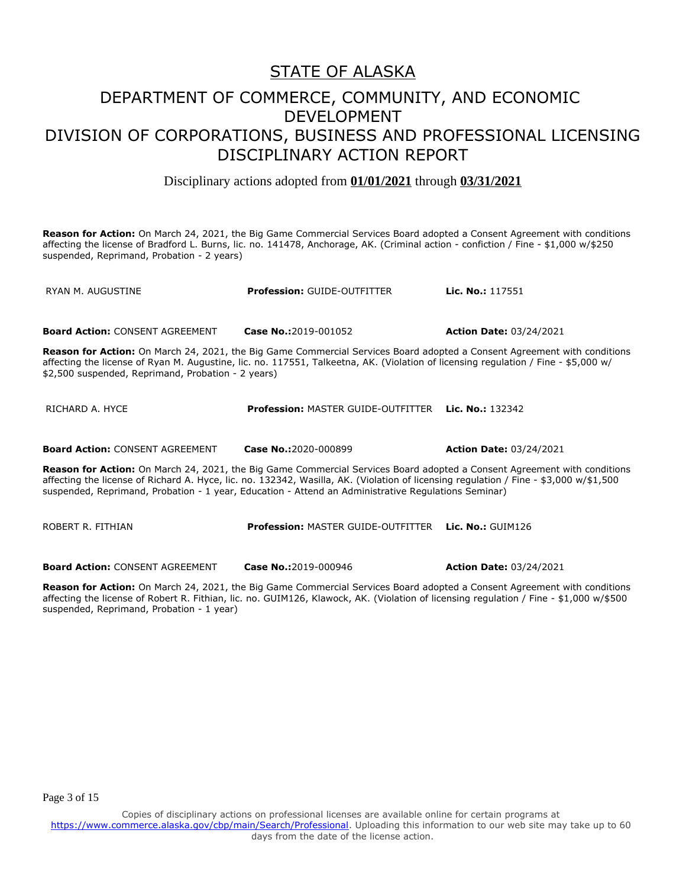## DEPARTMENT OF COMMERCE, COMMUNITY, AND ECONOMIC DEVELOPMENT DIVISION OF CORPORATIONS, BUSINESS AND PROFESSIONAL LICENSING DISCIPLINARY ACTION REPORT

Disciplinary actions adopted from **01/01/2021** through **03/31/2021**

**Reason for Action:** On March 24, 2021, the Big Game Commercial Services Board adopted a Consent Agreement with conditions affecting the license of Bradford L. Burns, lic. no. 141478, Anchorage, AK. (Criminal action - confiction / Fine - \$1,000 w/\$250 suspended, Reprimand, Probation - 2 years)

| RYAN M. AUGUSTINE                                                                                                                                                                                                                                                                                                                                                               | <b>Profession: GUIDE-OUTFITTER</b>                         | Lic. No.: 117551               |  |
|---------------------------------------------------------------------------------------------------------------------------------------------------------------------------------------------------------------------------------------------------------------------------------------------------------------------------------------------------------------------------------|------------------------------------------------------------|--------------------------------|--|
|                                                                                                                                                                                                                                                                                                                                                                                 |                                                            |                                |  |
| <b>Board Action: CONSENT AGREEMENT</b>                                                                                                                                                                                                                                                                                                                                          | Case No.:2019-001052                                       | <b>Action Date: 03/24/2021</b> |  |
| <b>Reason for Action:</b> On March 24, 2021, the Big Game Commercial Services Board adopted a Consent Agreement with conditions<br>affecting the license of Ryan M. Augustine, lic. no. 117551, Talkeetna, AK. (Violation of licensing regulation / Fine - \$5,000 w/<br>\$2,500 suspended, Reprimand, Probation - 2 years)                                                     |                                                            |                                |  |
| RICHARD A. HYCE                                                                                                                                                                                                                                                                                                                                                                 | <b>Profession: MASTER GUIDE-OUTFITTER Lic. No.: 132342</b> |                                |  |
| <b>Board Action: CONSENT AGREEMENT</b>                                                                                                                                                                                                                                                                                                                                          | Case No.:2020-000899                                       | <b>Action Date: 03/24/2021</b> |  |
| <b>Reason for Action:</b> On March 24, 2021, the Big Game Commercial Services Board adopted a Consent Agreement with conditions<br>affecting the license of Richard A. Hyce, lic. no. 132342, Wasilla, AK. (Violation of licensing regulation / Fine - \$3,000 w/\$1,500<br>suspended, Reprimand, Probation - 1 year, Education - Attend an Administrative Regulations Seminar) |                                                            |                                |  |
| ROBERT R. FITHIAN                                                                                                                                                                                                                                                                                                                                                               | <b>Profession: MASTER GUIDE-OUTFITTER</b>                  | Lic. No.: $GUIM126$            |  |

**Board Action:** CONSENT AGREEMENT **Case No.:**2019-000946 **Action Date:** 03/24/2021

**Reason for Action:** On March 24, 2021, the Big Game Commercial Services Board adopted a Consent Agreement with conditions affecting the license of Robert R. Fithian, lic. no. GUIM126, Klawock, AK. (Violation of licensing regulation / Fine - \$1,000 w/\$500 suspended, Reprimand, Probation - 1 year)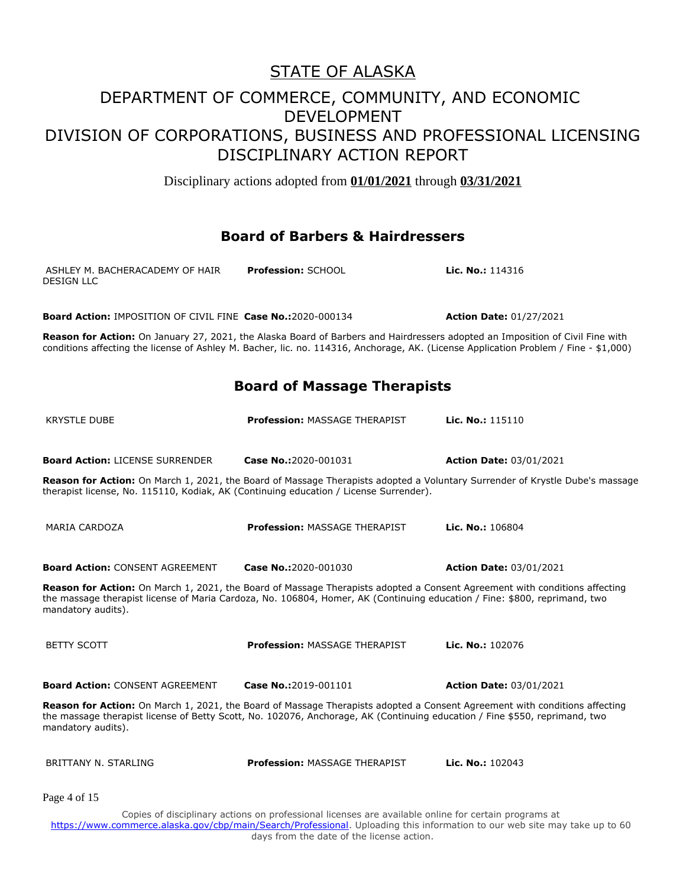Disciplinary actions adopted from **01/01/2021** through **03/31/2021**

#### **Board of Barbers & Hairdressers**

| ASHLEY M. BACHERACADEMY OF HAIR<br>DESIGN LLC | <b>Profession: SCHOOL</b> | <b>Lic. No.:</b> $114316$ |
|-----------------------------------------------|---------------------------|---------------------------|
|                                               |                           |                           |

**Board Action:** IMPOSITION OF CIVIL FINE **Case No.:**2020-000134 **Action Date:** 01/27/2021

**Reason for Action:** On January 27, 2021, the Alaska Board of Barbers and Hairdressers adopted an Imposition of Civil Fine with conditions affecting the license of Ashley M. Bacher, lic. no. 114316, Anchorage, AK. (License Application Problem / Fine - \$1,000)

**Board of Massage Therapists**

| <b>KRYSTLE DUBE</b>                                                                   | Profession: MASSAGE THERAPIST                                                                                                                                                                                                                            | Lic. No.: 115110                                                                                                             |
|---------------------------------------------------------------------------------------|----------------------------------------------------------------------------------------------------------------------------------------------------------------------------------------------------------------------------------------------------------|------------------------------------------------------------------------------------------------------------------------------|
| <b>Board Action: LICENSE SURRENDER</b>                                                | Case No.:2020-001031                                                                                                                                                                                                                                     | <b>Action Date: 03/01/2021</b>                                                                                               |
| therapist license, No. 115110, Kodiak, AK (Continuing education / License Surrender). |                                                                                                                                                                                                                                                          | Reason for Action: On March 1, 2021, the Board of Massage Therapists adopted a Voluntary Surrender of Krystle Dube's massage |
| <b>MARIA CARDOZA</b>                                                                  | Profession: MASSAGE THERAPIST                                                                                                                                                                                                                            | Lic. No.: 106804                                                                                                             |
| <b>Board Action: CONSENT AGREEMENT</b>                                                | Case No.:2020-001030                                                                                                                                                                                                                                     | <b>Action Date: 03/01/2021</b>                                                                                               |
| mandatory audits).                                                                    | Reason for Action: On March 1, 2021, the Board of Massage Therapists adopted a Consent Agreement with conditions affecting<br>the massage therapist license of Maria Cardoza, No. 106804, Homer, AK (Continuing education / Fine: \$800, reprimand, two  |                                                                                                                              |
| <b>BETTY SCOTT</b>                                                                    | <b>Profession: MASSAGE THERAPIST</b>                                                                                                                                                                                                                     | Lic. No.: 102076                                                                                                             |
| <b>Board Action: CONSENT AGREEMENT</b>                                                | Case No.:2019-001101                                                                                                                                                                                                                                     | <b>Action Date: 03/01/2021</b>                                                                                               |
| mandatory audits).                                                                    | Reason for Action: On March 1, 2021, the Board of Massage Therapists adopted a Consent Agreement with conditions affecting<br>the massage therapist license of Betty Scott, No. 102076, Anchorage, AK (Continuing education / Fine \$550, reprimand, two |                                                                                                                              |
| <b>BRITTANY N. STARLING</b>                                                           | <b>Profession: MASSAGE THERAPIST</b>                                                                                                                                                                                                                     | Lic. No.: 102043                                                                                                             |
| Page 4 of 15                                                                          |                                                                                                                                                                                                                                                          |                                                                                                                              |
|                                                                                       | Copies of disciplinary actions on professional licenses are available online for certain programs at                                                                                                                                                     |                                                                                                                              |

https://www.commerce.alaska.gov/cbp/main/Search/Professional</u>. Uploading this information to our web site may take up to 60 days from the date of the license action.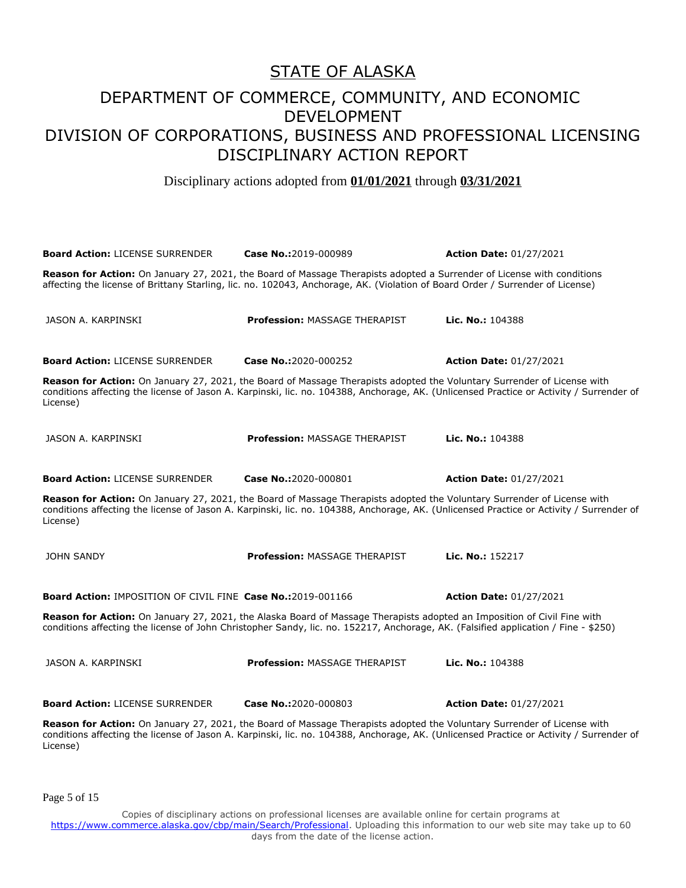Disciplinary actions adopted from **01/01/2021** through **03/31/2021**

| <b>Board Action: LICENSE SURRENDER</b>                                                                                                                                                                                                                                         | Case No.:2019-000989                                                                                                                                                                                                                                               | <b>Action Date: 01/27/2021</b> |  |
|--------------------------------------------------------------------------------------------------------------------------------------------------------------------------------------------------------------------------------------------------------------------------------|--------------------------------------------------------------------------------------------------------------------------------------------------------------------------------------------------------------------------------------------------------------------|--------------------------------|--|
| Reason for Action: On January 27, 2021, the Board of Massage Therapists adopted a Surrender of License with conditions<br>affecting the license of Brittany Starling, lic. no. 102043, Anchorage, AK. (Violation of Board Order / Surrender of License)                        |                                                                                                                                                                                                                                                                    |                                |  |
| JASON A. KARPINSKI                                                                                                                                                                                                                                                             | <b>Profession: MASSAGE THERAPIST</b>                                                                                                                                                                                                                               | Lic. No.: 104388               |  |
| <b>Board Action: LICENSE SURRENDER</b>                                                                                                                                                                                                                                         | Case No.:2020-000252                                                                                                                                                                                                                                               | <b>Action Date: 01/27/2021</b> |  |
| License)                                                                                                                                                                                                                                                                       | Reason for Action: On January 27, 2021, the Board of Massage Therapists adopted the Voluntary Surrender of License with<br>conditions affecting the license of Jason A. Karpinski, lic. no. 104388, Anchorage, AK. (Unlicensed Practice or Activity / Surrender of |                                |  |
| JASON A. KARPINSKI                                                                                                                                                                                                                                                             | <b>Profession: MASSAGE THERAPIST</b>                                                                                                                                                                                                                               | Lic. No.: 104388               |  |
| <b>Board Action: LICENSE SURRENDER</b>                                                                                                                                                                                                                                         | Case No.:2020-000801                                                                                                                                                                                                                                               | <b>Action Date: 01/27/2021</b> |  |
| Reason for Action: On January 27, 2021, the Board of Massage Therapists adopted the Voluntary Surrender of License with<br>conditions affecting the license of Jason A. Karpinski, lic. no. 104388, Anchorage, AK. (Unlicensed Practice or Activity / Surrender of<br>License) |                                                                                                                                                                                                                                                                    |                                |  |
| <b>JOHN SANDY</b>                                                                                                                                                                                                                                                              | <b>Profession: MASSAGE THERAPIST</b>                                                                                                                                                                                                                               | Lic. No.: 152217               |  |
| <b>Board Action: IMPOSITION OF CIVIL FINE Case No.:2019-001166</b>                                                                                                                                                                                                             |                                                                                                                                                                                                                                                                    | <b>Action Date: 01/27/2021</b> |  |
| Reason for Action: On January 27, 2021, the Alaska Board of Massage Therapists adopted an Imposition of Civil Fine with<br>conditions affecting the license of John Christopher Sandy, lic. no. 152217, Anchorage, AK. (Falsified application / Fine - \$250)                  |                                                                                                                                                                                                                                                                    |                                |  |
| JASON A. KARPINSKI                                                                                                                                                                                                                                                             | <b>Profession: MASSAGE THERAPIST</b>                                                                                                                                                                                                                               | Lic. No.: 104388               |  |
| <b>Board Action: LICENSE SURRENDER</b>                                                                                                                                                                                                                                         | Case No.:2020-000803                                                                                                                                                                                                                                               | <b>Action Date: 01/27/2021</b> |  |
| Reason for Action: On January 27, 2021, the Board of Massage Therapists adopted the Voluntary Surrender of License with<br>conditions affecting the license of Jason A. Karpinski, lic. no. 104388, Anchorage, AK. (Unlicensed Practice or Activity / Surrender of<br>License) |                                                                                                                                                                                                                                                                    |                                |  |

Page 5 of 15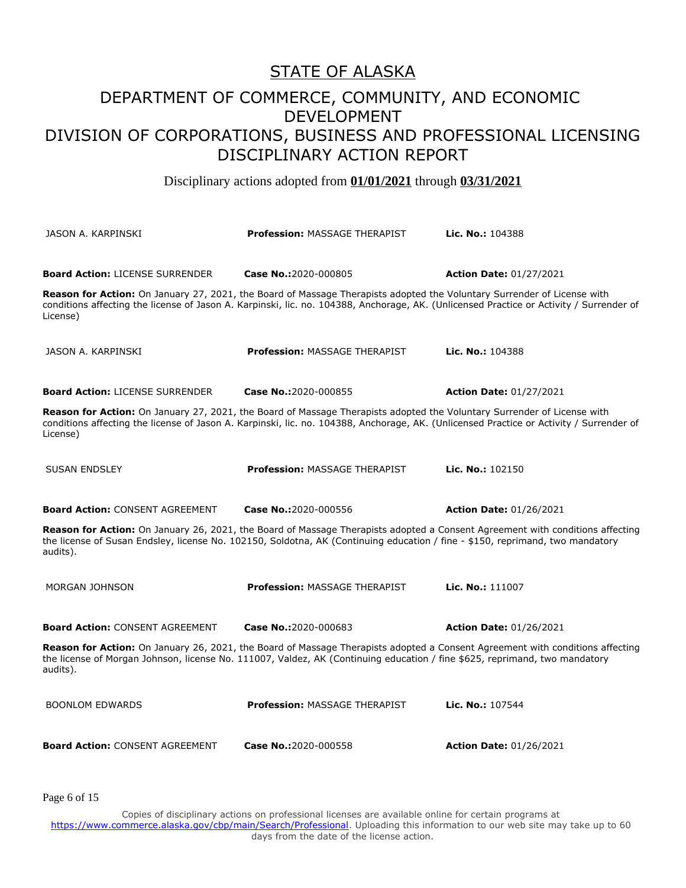Disciplinary actions adopted from **01/01/2021** through **03/31/2021**

| JASON A. KARPINSKI                     | <b>Profession: MASSAGE THERAPIST</b>                                                                                                                                                                                                                               | Lic. No.: 104388               |
|----------------------------------------|--------------------------------------------------------------------------------------------------------------------------------------------------------------------------------------------------------------------------------------------------------------------|--------------------------------|
| <b>Board Action: LICENSE SURRENDER</b> | Case No.:2020-000805                                                                                                                                                                                                                                               | <b>Action Date: 01/27/2021</b> |
| License)                               | Reason for Action: On January 27, 2021, the Board of Massage Therapists adopted the Voluntary Surrender of License with<br>conditions affecting the license of Jason A. Karpinski, lic. no. 104388, Anchorage, AK. (Unlicensed Practice or Activity / Surrender of |                                |
| JASON A. KARPINSKI                     | <b>Profession: MASSAGE THERAPIST</b>                                                                                                                                                                                                                               | Lic. No.: 104388               |
| <b>Board Action: LICENSE SURRENDER</b> | Case No.:2020-000855                                                                                                                                                                                                                                               | <b>Action Date: 01/27/2021</b> |
| License)                               | Reason for Action: On January 27, 2021, the Board of Massage Therapists adopted the Voluntary Surrender of License with<br>conditions affecting the license of Jason A. Karpinski, lic. no. 104388, Anchorage, AK. (Unlicensed Practice or Activity / Surrender of |                                |
| <b>SUSAN ENDSLEY</b>                   | <b>Profession: MASSAGE THERAPIST</b>                                                                                                                                                                                                                               | <b>Lic. No.: 102150</b>        |
| <b>Board Action: CONSENT AGREEMENT</b> | Case No.:2020-000556                                                                                                                                                                                                                                               | <b>Action Date: 01/26/2021</b> |
| audits).                               | Reason for Action: On January 26, 2021, the Board of Massage Therapists adopted a Consent Agreement with conditions affecting<br>the license of Susan Endsley, license No. 102150, Soldotna, AK (Continuing education / fine - \$150, reprimand, two mandatory     |                                |
| <b>MORGAN JOHNSON</b>                  | <b>Profession: MASSAGE THERAPIST</b>                                                                                                                                                                                                                               | Lic. No.: 111007               |
| <b>Board Action: CONSENT AGREEMENT</b> | Case No.:2020-000683                                                                                                                                                                                                                                               | <b>Action Date: 01/26/2021</b> |
| audits).                               | Reason for Action: On January 26, 2021, the Board of Massage Therapists adopted a Consent Agreement with conditions affecting<br>the license of Morgan Johnson, license No. 111007, Valdez, AK (Continuing education / fine \$625, reprimand, two mandatory        |                                |
| <b>BOONLOM EDWARDS</b>                 | <b>Profession: MASSAGE THERAPIST</b>                                                                                                                                                                                                                               | Lic. No.: 107544               |
| <b>Board Action: CONSENT AGREEMENT</b> | Case No.:2020-000558                                                                                                                                                                                                                                               | <b>Action Date: 01/26/2021</b> |

Page 6 of 15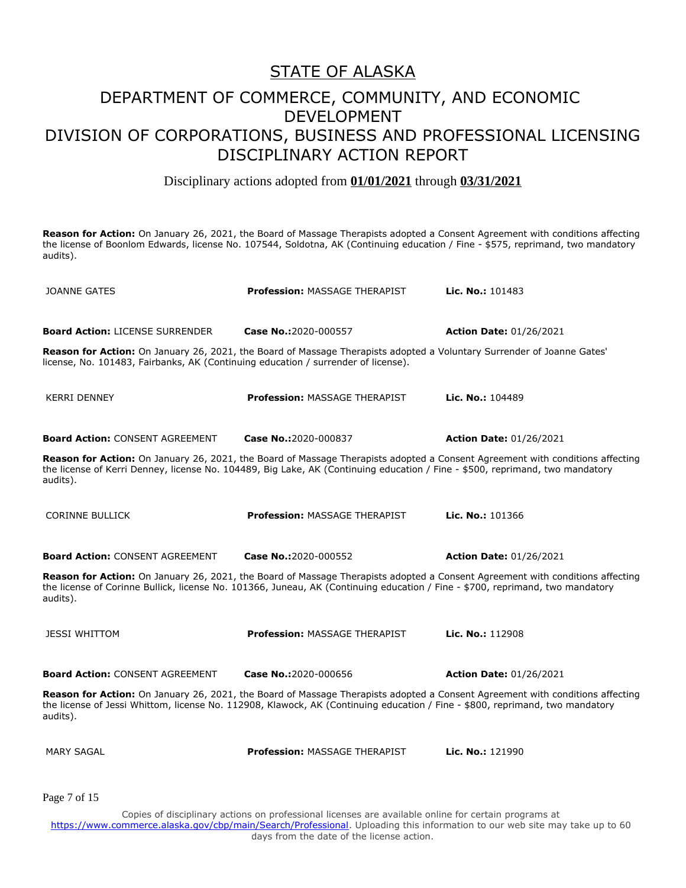## DEPARTMENT OF COMMERCE, COMMUNITY, AND ECONOMIC DEVELOPMENT DIVISION OF CORPORATIONS, BUSINESS AND PROFESSIONAL LICENSING DISCIPLINARY ACTION REPORT

Disciplinary actions adopted from **01/01/2021** through **03/31/2021**

**Reason for Action:** On January 26, 2021, the Board of Massage Therapists adopted a Consent Agreement with conditions affecting the license of Boonlom Edwards, license No. 107544, Soldotna, AK (Continuing education / Fine - \$575, reprimand, two mandatory audits).

| <b>JOANNE GATES</b>                                                               | <b>Profession: MASSAGE THERAPIST</b>                                                                                          | Lic. No.: 101483                                                                                                              |
|-----------------------------------------------------------------------------------|-------------------------------------------------------------------------------------------------------------------------------|-------------------------------------------------------------------------------------------------------------------------------|
| <b>Board Action: LICENSE SURRENDER</b>                                            | Case No.:2020-000557                                                                                                          | <b>Action Date: 01/26/2021</b>                                                                                                |
| license, No. 101483, Fairbanks, AK (Continuing education / surrender of license). | Reason for Action: On January 26, 2021, the Board of Massage Therapists adopted a Voluntary Surrender of Joanne Gates'        |                                                                                                                               |
| <b>KERRI DENNEY</b>                                                               | <b>Profession: MASSAGE THERAPIST</b>                                                                                          | Lic. No.: 104489                                                                                                              |
| <b>Board Action: CONSENT AGREEMENT</b>                                            | Case No.:2020-000837                                                                                                          | <b>Action Date: 01/26/2021</b>                                                                                                |
| audits).                                                                          | the license of Kerri Denney, license No. 104489, Big Lake, AK (Continuing education / Fine - \$500, reprimand, two mandatory  | Reason for Action: On January 26, 2021, the Board of Massage Therapists adopted a Consent Agreement with conditions affecting |
| <b>CORINNE BULLICK</b>                                                            | <b>Profession: MASSAGE THERAPIST</b>                                                                                          | Lic. No.: 101366                                                                                                              |
| <b>Board Action: CONSENT AGREEMENT</b>                                            | Case No.:2020-000552                                                                                                          | <b>Action Date: 01/26/2021</b>                                                                                                |
| audits).                                                                          | the license of Corinne Bullick, license No. 101366, Juneau, AK (Continuing education / Fine - \$700, reprimand, two mandatory | Reason for Action: On January 26, 2021, the Board of Massage Therapists adopted a Consent Agreement with conditions affecting |
| <b>JESSI WHITTOM</b>                                                              | <b>Profession: MASSAGE THERAPIST</b>                                                                                          | Lic. No.: 112908                                                                                                              |
| <b>Board Action: CONSENT AGREEMENT</b>                                            | Case No.:2020-000656                                                                                                          | <b>Action Date: 01/26/2021</b>                                                                                                |
| audits).                                                                          | the license of Jessi Whittom, license No. 112908, Klawock, AK (Continuing education / Fine - \$800, reprimand, two mandatory  | Reason for Action: On January 26, 2021, the Board of Massage Therapists adopted a Consent Agreement with conditions affecting |
| <b>MARY SAGAL</b>                                                                 | <b>Profession: MASSAGE THERAPIST</b>                                                                                          | Lic. No.: 121990                                                                                                              |
| Page 7 of 15                                                                      |                                                                                                                               |                                                                                                                               |
|                                                                                   | Copies of disciplinary actions on professional licenses are available online for certain programs at                          |                                                                                                                               |

https://www.commerce.alaska.gov/cbp/main/Search/Professional</u>. Uploading this information to our web site may take up to 60 days from the date of the license action.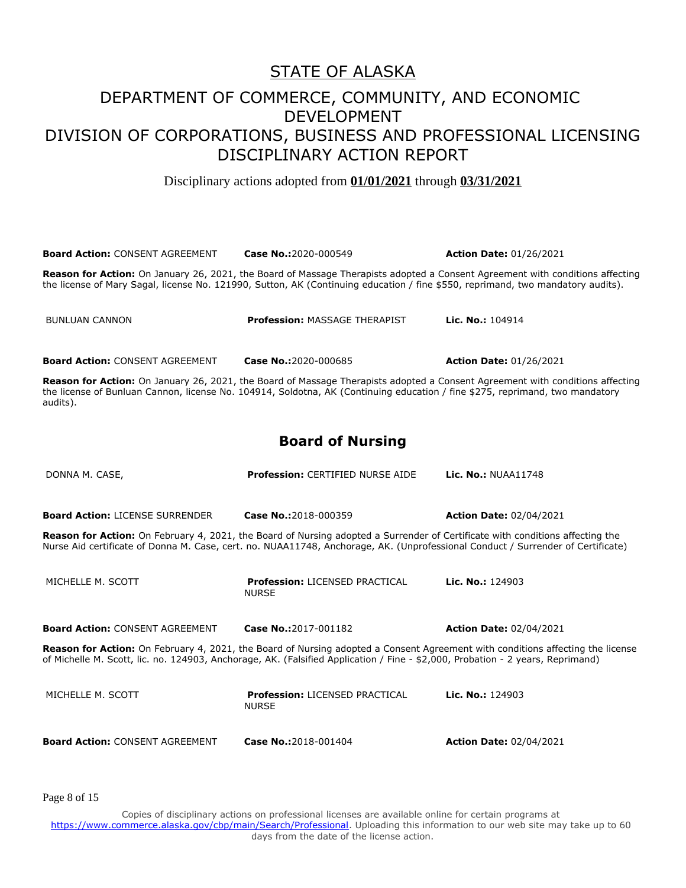Disciplinary actions adopted from **01/01/2021** through **03/31/2021**

| <b>Board Action: CONSENT AGREEMENT</b>                                                                                                                                                                                                                           | Case No.:2020-000549                                                                                                                                                                                                                                          | <b>Action Date: 01/26/2021</b> |  |
|------------------------------------------------------------------------------------------------------------------------------------------------------------------------------------------------------------------------------------------------------------------|---------------------------------------------------------------------------------------------------------------------------------------------------------------------------------------------------------------------------------------------------------------|--------------------------------|--|
| Reason for Action: On January 26, 2021, the Board of Massage Therapists adopted a Consent Agreement with conditions affecting<br>the license of Mary Sagal, license No. 121990, Sutton, AK (Continuing education / fine \$550, reprimand, two mandatory audits). |                                                                                                                                                                                                                                                               |                                |  |
| <b>BUNLUAN CANNON</b>                                                                                                                                                                                                                                            | <b>Profession: MASSAGE THERAPIST</b>                                                                                                                                                                                                                          | Lic. No.: 104914               |  |
| <b>Board Action: CONSENT AGREEMENT</b>                                                                                                                                                                                                                           | Case No.:2020-000685                                                                                                                                                                                                                                          | <b>Action Date: 01/26/2021</b> |  |
| audits).                                                                                                                                                                                                                                                         | Reason for Action: On January 26, 2021, the Board of Massage Therapists adopted a Consent Agreement with conditions affecting<br>the license of Bunluan Cannon, license No. 104914, Soldotna, AK (Continuing education / fine \$275, reprimand, two mandatory |                                |  |
|                                                                                                                                                                                                                                                                  | <b>Board of Nursing</b>                                                                                                                                                                                                                                       |                                |  |
| DONNA M. CASE,                                                                                                                                                                                                                                                   | Profession: CERTIFIED NURSE AIDE                                                                                                                                                                                                                              | <b>Lic. No.: NUAA11748</b>     |  |
| <b>Board Action: LICENSE SURRENDER</b>                                                                                                                                                                                                                           | Case No.:2018-000359                                                                                                                                                                                                                                          | <b>Action Date: 02/04/2021</b> |  |
| Reason for Action: On February 4, 2021, the Board of Nursing adopted a Surrender of Certificate with conditions affecting the<br>Nurse Aid certificate of Donna M. Case, cert. no. NUAA11748, Anchorage, AK. (Unprofessional Conduct / Surrender of Certificate) |                                                                                                                                                                                                                                                               |                                |  |
| MICHELLE M. SCOTT                                                                                                                                                                                                                                                | <b>Profession: LICENSED PRACTICAL</b><br><b>NURSE</b>                                                                                                                                                                                                         | Lic. No.: 124903               |  |
| <b>Board Action: CONSENT AGREEMENT</b>                                                                                                                                                                                                                           | Case No.:2017-001182                                                                                                                                                                                                                                          | <b>Action Date: 02/04/2021</b> |  |
| Reason for Action: On February 4, 2021, the Board of Nursing adopted a Consent Agreement with conditions affecting the license<br>of Michelle M. Scott, lic. no. 124903, Anchorage, AK. (Falsified Application / Fine - \$2,000, Probation - 2 years, Reprimand) |                                                                                                                                                                                                                                                               |                                |  |
| MICHELLE M. SCOTT                                                                                                                                                                                                                                                | <b>Profession: LICENSED PRACTICAL</b><br><b>NURSE</b>                                                                                                                                                                                                         | Lic. No.: $124903$             |  |
| <b>Board Action: CONSENT AGREEMENT</b>                                                                                                                                                                                                                           | Case No.:2018-001404                                                                                                                                                                                                                                          | <b>Action Date: 02/04/2021</b> |  |

Page 8 of 15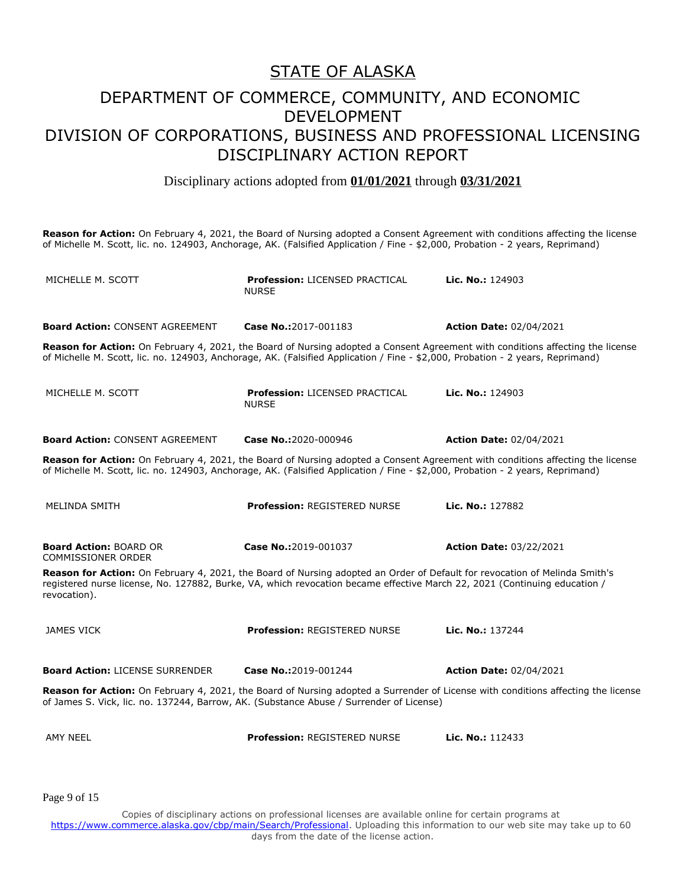Disciplinary actions adopted from **01/01/2021** through **03/31/2021**

**Reason for Action:** On February 4, 2021, the Board of Nursing adopted a Consent Agreement with conditions affecting the license of Michelle M. Scott, lic. no. 124903, Anchorage, AK. (Falsified Application / Fine - \$2,000, Probation - 2 years, Reprimand) MICHELLE M. SCOTT **Profession:** LICENSED PRACTICAL NURSE **Lic. No.:** 124903 **Board Action:** CONSENT AGREEMENT **Case No.:**2017-001183 **Action Date:** 02/04/2021 **Reason for Action:** On February 4, 2021, the Board of Nursing adopted a Consent Agreement with conditions affecting the license of Michelle M. Scott, lic. no. 124903, Anchorage, AK. (Falsified Application / Fine - \$2,000, Probation - 2 years, Reprimand) MICHELLE M. SCOTT **Profession:** LICENSED PRACTICAL NURSE **Lic. No.:** 124903 **Board Action:** CONSENT AGREEMENT **Case No.:**2020-000946 **Action Date:** 02/04/2021 **Reason for Action:** On February 4, 2021, the Board of Nursing adopted a Consent Agreement with conditions affecting the license of Michelle M. Scott, lic. no. 124903, Anchorage, AK. (Falsified Application / Fine - \$2,000, Probation - 2 years, Reprimand) MELINDA SMITH **Profession:** REGISTERED NURSE **Lic. No.:** 127882 **Board Action:** BOARD OR COMMISSIONER ORDER **Case No.:**2019-001037 **Action Date:** 03/22/2021 **Reason for Action:** On February 4, 2021, the Board of Nursing adopted an Order of Default for revocation of Melinda Smith's registered nurse license, No. 127882, Burke, VA, which revocation became effective March 22, 2021 (Continuing education / revocation). JAMES VICK **Profession:** REGISTERED NURSE **Lic. No.:** 137244 **Board Action:** LICENSE SURRENDER **Case No.:**2019-001244 **Action Date:** 02/04/2021 **Reason for Action:** On February 4, 2021, the Board of Nursing adopted a Surrender of License with conditions affecting the license of James S. Vick, lic. no. 137244, Barrow, AK. (Substance Abuse / Surrender of License) AMY NEEL **Profession:** REGISTERED NURSE **Lic. No.:** 112433

Page 9 of 15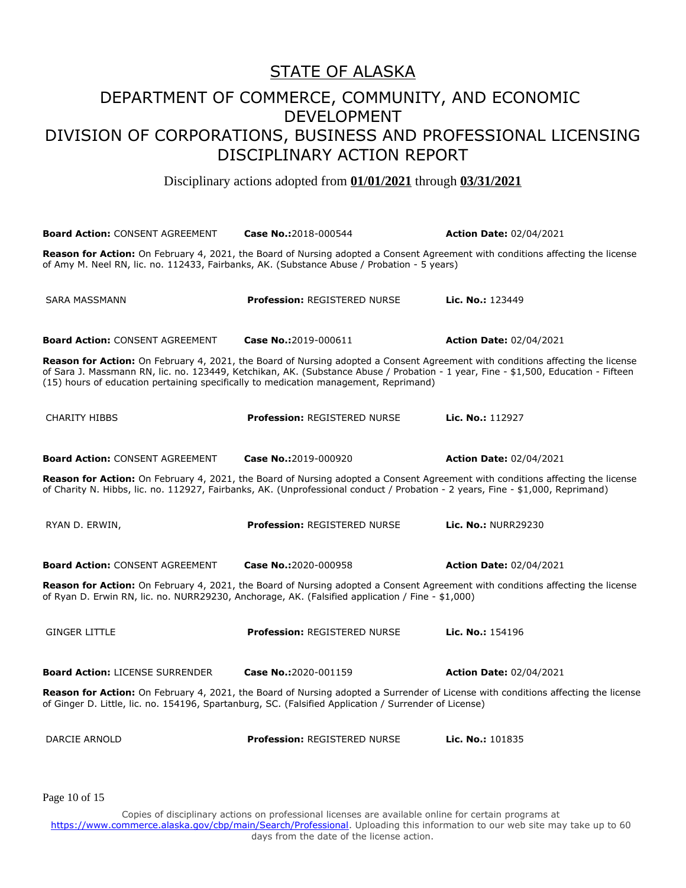Disciplinary actions adopted from **01/01/2021** through **03/31/2021**

| <b>Board Action: CONSENT AGREEMENT</b>                                                                                                                                                                                                     | Case No.:2018-000544                                                                                                                                                                                                                                                 | <b>Action Date: 02/04/2021</b> |  |
|--------------------------------------------------------------------------------------------------------------------------------------------------------------------------------------------------------------------------------------------|----------------------------------------------------------------------------------------------------------------------------------------------------------------------------------------------------------------------------------------------------------------------|--------------------------------|--|
| Reason for Action: On February 4, 2021, the Board of Nursing adopted a Consent Agreement with conditions affecting the license<br>of Amy M. Neel RN, lic. no. 112433, Fairbanks, AK. (Substance Abuse / Probation - 5 years)               |                                                                                                                                                                                                                                                                      |                                |  |
| <b>SARA MASSMANN</b>                                                                                                                                                                                                                       | <b>Profession: REGISTERED NURSE</b>                                                                                                                                                                                                                                  | Lic. No.: 123449               |  |
| <b>Board Action: CONSENT AGREEMENT</b>                                                                                                                                                                                                     | Case No.:2019-000611                                                                                                                                                                                                                                                 | <b>Action Date: 02/04/2021</b> |  |
| (15) hours of education pertaining specifically to medication management, Reprimand)                                                                                                                                                       | Reason for Action: On February 4, 2021, the Board of Nursing adopted a Consent Agreement with conditions affecting the license<br>of Sara J. Massmann RN, lic. no. 123449, Ketchikan, AK. (Substance Abuse / Probation - 1 year, Fine - \$1,500, Education - Fifteen |                                |  |
| <b>CHARITY HIBBS</b>                                                                                                                                                                                                                       | <b>Profession: REGISTERED NURSE</b>                                                                                                                                                                                                                                  | Lic. No.: 112927               |  |
| <b>Board Action: CONSENT AGREEMENT</b>                                                                                                                                                                                                     | Case No.:2019-000920                                                                                                                                                                                                                                                 | <b>Action Date: 02/04/2021</b> |  |
|                                                                                                                                                                                                                                            | Reason for Action: On February 4, 2021, the Board of Nursing adopted a Consent Agreement with conditions affecting the license<br>of Charity N. Hibbs, lic. no. 112927, Fairbanks, AK. (Unprofessional conduct / Probation - 2 years, Fine - \$1,000, Reprimand)     |                                |  |
| RYAN D. ERWIN,                                                                                                                                                                                                                             | <b>Profession: REGISTERED NURSE</b>                                                                                                                                                                                                                                  | <b>Lic. No.: NURR29230</b>     |  |
| <b>Board Action: CONSENT AGREEMENT</b>                                                                                                                                                                                                     | Case No.:2020-000958                                                                                                                                                                                                                                                 | <b>Action Date: 02/04/2021</b> |  |
| Reason for Action: On February 4, 2021, the Board of Nursing adopted a Consent Agreement with conditions affecting the license<br>of Ryan D. Erwin RN, lic. no. NURR29230, Anchorage, AK. (Falsified application / Fine - \$1,000)         |                                                                                                                                                                                                                                                                      |                                |  |
| <b>GINGER LITTLE</b>                                                                                                                                                                                                                       | <b>Profession: REGISTERED NURSE</b>                                                                                                                                                                                                                                  | Lic. No.: 154196               |  |
| <b>Board Action: LICENSE SURRENDER</b>                                                                                                                                                                                                     | Case No.:2020-001159                                                                                                                                                                                                                                                 | <b>Action Date: 02/04/2021</b> |  |
| Reason for Action: On February 4, 2021, the Board of Nursing adopted a Surrender of License with conditions affecting the license<br>of Ginger D. Little, lic. no. 154196, Spartanburg, SC. (Falsified Application / Surrender of License) |                                                                                                                                                                                                                                                                      |                                |  |
| DARCIE ARNOLD                                                                                                                                                                                                                              | Profession: REGISTERED NURSE                                                                                                                                                                                                                                         | Lic. No.: 101835               |  |

Page 10 of 15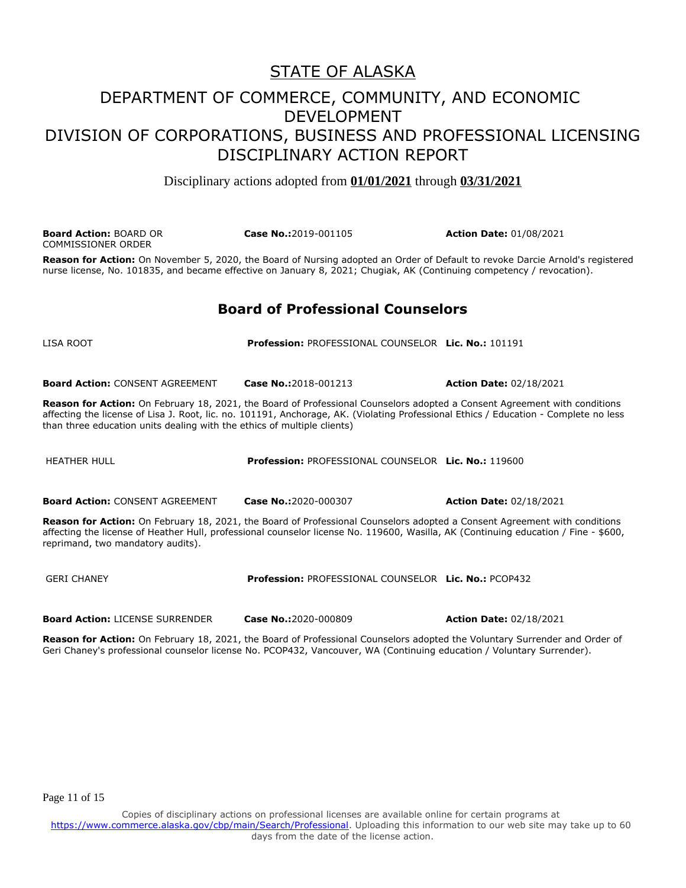## DEPARTMENT OF COMMERCE, COMMUNITY, AND ECONOMIC DEVELOPMENT DIVISION OF CORPORATIONS, BUSINESS AND PROFESSIONAL LICENSING DISCIPLINARY ACTION REPORT

Disciplinary actions adopted from **01/01/2021** through **03/31/2021**

**Board Action:** BOARD OR COMMISSIONER ORDER **Case No.:**2019-001105 **Action Date:** 01/08/2021

**Reason for Action:** On November 5, 2020, the Board of Nursing adopted an Order of Default to revoke Darcie Arnold's registered nurse license, No. 101835, and became effective on January 8, 2021; Chugiak, AK (Continuing competency / revocation).

#### **Board of Professional Counselors**

LISA ROOT **Profession:** PROFESSIONAL COUNSELOR **Lic. No.:** 101191

**Board Action:** CONSENT AGREEMENT **Case No.:**2018-001213 **Action Date:** 02/18/2021

**Reason for Action:** On February 18, 2021, the Board of Professional Counselors adopted a Consent Agreement with conditions affecting the license of Lisa J. Root, lic. no. 101191, Anchorage, AK. (Violating Professional Ethics / Education - Complete no less than three education units dealing with the ethics of multiple clients)

HEATHER HULL **Profession:** PROFESSIONAL COUNSELOR **Lic. No.:** 119600

**Board Action:** CONSENT AGREEMENT **Case No.:**2020-000307 **Action Date:** 02/18/2021

**Reason for Action:** On February 18, 2021, the Board of Professional Counselors adopted a Consent Agreement with conditions affecting the license of Heather Hull, professional counselor license No. 119600, Wasilla, AK (Continuing education / Fine - \$600, reprimand, two mandatory audits).

GERI CHANEY **Profession:** PROFESSIONAL COUNSELOR **Lic. No.:** PCOP432

**Board Action:** LICENSE SURRENDER **Case No.:**2020-000809 **Action Date:** 02/18/2021

**Reason for Action:** On February 18, 2021, the Board of Professional Counselors adopted the Voluntary Surrender and Order of Geri Chaney's professional counselor license No. PCOP432, Vancouver, WA (Continuing education / Voluntary Surrender).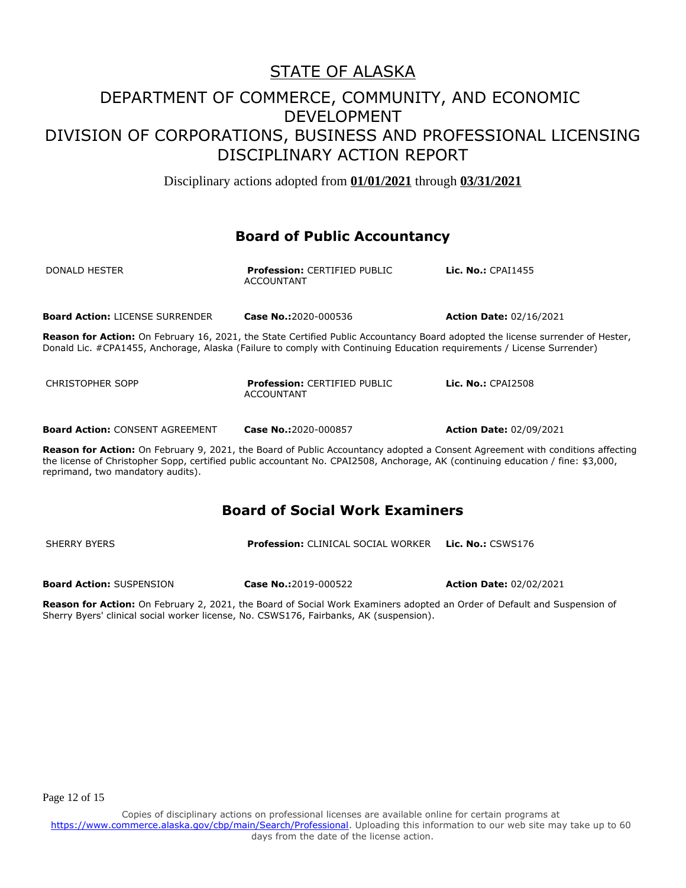Disciplinary actions adopted from **01/01/2021** through **03/31/2021**

#### **Board of Public Accountancy**

| DONALD HESTER                          | <b>Profession: CERTIFIED PUBLIC</b><br><b>ACCOUNTANT</b>                                                                                                                                                                                                        | <b>Lic. No.: CPAI1455</b>      |
|----------------------------------------|-----------------------------------------------------------------------------------------------------------------------------------------------------------------------------------------------------------------------------------------------------------------|--------------------------------|
| <b>Board Action: LICENSE SURRENDER</b> | Case No.:2020-000536                                                                                                                                                                                                                                            | <b>Action Date: 02/16/2021</b> |
|                                        | <b>Reason for Action:</b> On February 16, 2021, the State Certified Public Accountancy Board adopted the license surrender of Hester,<br>Donald Lic. #CPA1455, Anchorage, Alaska (Failure to comply with Continuing Education reguirements / License Surrender) |                                |
| CHRISTOPHER SOPP                       | <b>Profession: CERTIFIED PUBLIC</b><br><b>ACCOUNTANT</b>                                                                                                                                                                                                        | Lic. No.: CPAI2508             |
| <b>Board Action: CONSENT AGREEMENT</b> | Case No.:2020-000857                                                                                                                                                                                                                                            | <b>Action Date: 02/09/2021</b> |

**Reason for Action:** On February 9, 2021, the Board of Public Accountancy adopted a Consent Agreement with conditions affecting the license of Christopher Sopp, certified public accountant No. CPAI2508, Anchorage, AK (continuing education / fine: \$3,000, reprimand, two mandatory audits).

## **Board of Social Work Examiners**

| SHERRY BYERS | <b>Profession: CLINICAL SOCIAL WORKER Lic. No.: CSWS176</b> |  |
|--------------|-------------------------------------------------------------|--|
|              |                                                             |  |

**Board Action:** SUSPENSION **Case No.:**2019-000522 **Action Date:** 02/02/2021

**Reason for Action:** On February 2, 2021, the Board of Social Work Examiners adopted an Order of Default and Suspension of Sherry Byers' clinical social worker license, No. CSWS176, Fairbanks, AK (suspension).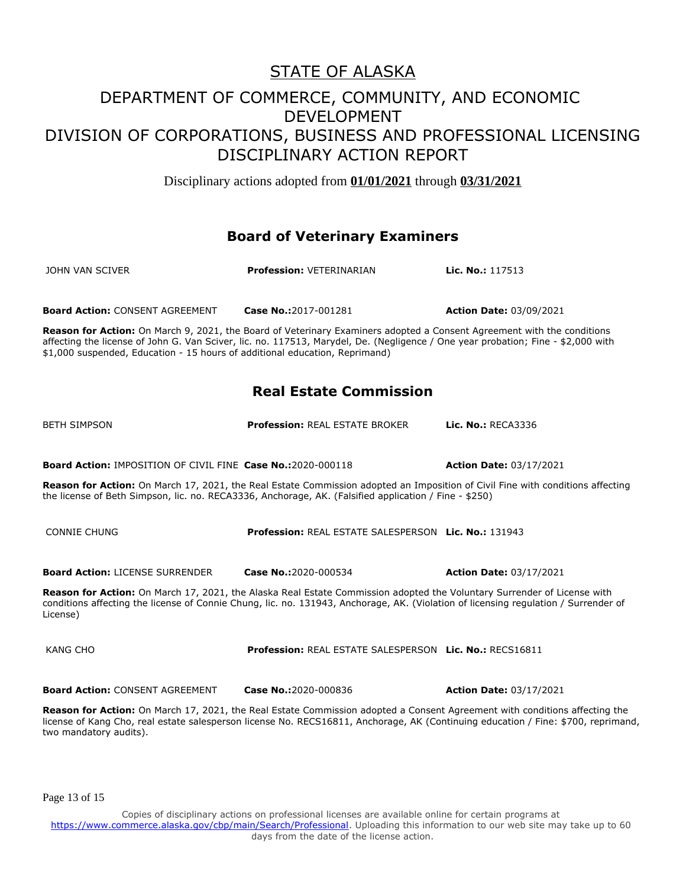Disciplinary actions adopted from **01/01/2021** through **03/31/2021**

### **Board of Veterinary Examiners**

| JOHN VAN SCIVER                        | <b>Profession: VETERINARIAN</b> | <b>Lic. No.:</b> 117513        |
|----------------------------------------|---------------------------------|--------------------------------|
|                                        |                                 |                                |
| <b>Board Action: CONSENT AGREEMENT</b> | <b>Case No.:</b> 2017-001281    | <b>Action Date: 03/09/2021</b> |

**Reason for Action:** On March 9, 2021, the Board of Veterinary Examiners adopted a Consent Agreement with the conditions affecting the license of John G. Van Sciver, lic. no. 117513, Marydel, De. (Negligence / One year probation; Fine - \$2,000 with \$1,000 suspended, Education - 15 hours of additional education, Reprimand)

## **Real Estate Commission**

BETH SIMPSON **Profession:** REAL ESTATE BROKER **Lic. No.:** RECA3336

**Board Action:** IMPOSITION OF CIVIL FINE **Case No.:**2020-000118 **Action Date:** 03/17/2021

**Reason for Action:** On March 17, 2021, the Real Estate Commission adopted an Imposition of Civil Fine with conditions affecting the license of Beth Simpson, lic. no. RECA3336, Anchorage, AK. (Falsified application / Fine - \$250)

CONNIE CHUNG **Profession:** REAL ESTATE SALESPERSON **Lic. No.:** 131943 **Board Action:** LICENSE SURRENDER **Case No.:**2020-000534 **Action Date:** 03/17/2021 **Reason for Action:** On March 17, 2021, the Alaska Real Estate Commission adopted the Voluntary Surrender of License with conditions affecting the license of Connie Chung, lic. no. 131943, Anchorage, AK. (Violation of licensing regulation / Surrender of License) KANG CHO **Profession:** REAL ESTATE SALESPERSON **Lic. No.:** RECS16811

**Board Action:** CONSENT AGREEMENT **Case No.:**2020-000836 **Action Date:** 03/17/2021

**Reason for Action:** On March 17, 2021, the Real Estate Commission adopted a Consent Agreement with conditions affecting the license of Kang Cho, real estate salesperson license No. RECS16811, Anchorage, AK (Continuing education / Fine: \$700, reprimand, two mandatory audits).

Page 13 of 15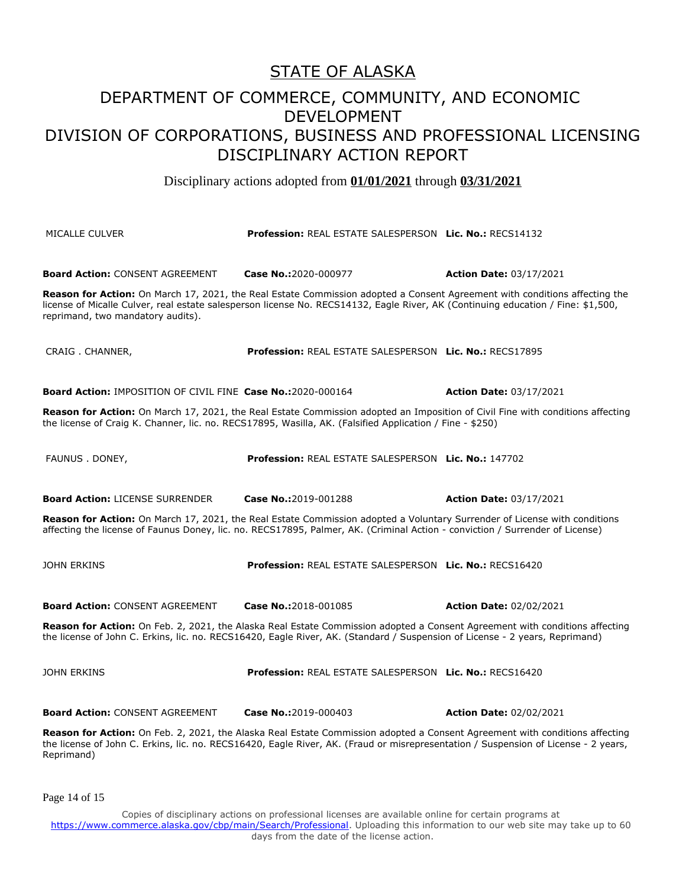## DEPARTMENT OF COMMERCE, COMMUNITY, AND ECONOMIC DEVELOPMENT DIVISION OF CORPORATIONS, BUSINESS AND PROFESSIONAL LICENSING DISCIPLINARY ACTION REPORT

Disciplinary actions adopted from **01/01/2021** through **03/31/2021**

MICALLE CULVER **Profession:** REAL ESTATE SALESPERSON **Lic. No.:** RECS14132 **Board Action:** CONSENT AGREEMENT **Case No.:**2020-000977 **Action Date:** 03/17/2021 **Reason for Action:** On March 17, 2021, the Real Estate Commission adopted a Consent Agreement with conditions affecting the license of Micalle Culver, real estate salesperson license No. RECS14132, Eagle River, AK (Continuing education / Fine: \$1,500, reprimand, two mandatory audits). CRAIG . CHANNER, **Profession:** REAL ESTATE SALESPERSON **Lic. No.:** RECS17895 **Board Action:** IMPOSITION OF CIVIL FINE **Case No.:**2020-000164 **Action Date:** 03/17/2021 **Reason for Action:** On March 17, 2021, the Real Estate Commission adopted an Imposition of Civil Fine with conditions affecting the license of Craig K. Channer, lic. no. RECS17895, Wasilla, AK. (Falsified Application / Fine - \$250) FAUNUS . DONEY, **Profession:** REAL ESTATE SALESPERSON **Lic. No.:** 147702 **Board Action:** LICENSE SURRENDER **Case No.:**2019-001288 **Action Date:** 03/17/2021 **Reason for Action:** On March 17, 2021, the Real Estate Commission adopted a Voluntary Surrender of License with conditions affecting the license of Faunus Doney, lic. no. RECS17895, Palmer, AK. (Criminal Action - conviction / Surrender of License) JOHN ERKINS **Profession:** REAL ESTATE SALESPERSON **Lic. No.:** RECS16420 **Board Action:** CONSENT AGREEMENT **Case No.:**2018-001085 **Action Date:** 02/02/2021 **Reason for Action:** On Feb. 2, 2021, the Alaska Real Estate Commission adopted a Consent Agreement with conditions affecting the license of John C. Erkins, lic. no. RECS16420, Eagle River, AK. (Standard / Suspension of License - 2 years, Reprimand) JOHN ERKINS **Profession:** REAL ESTATE SALESPERSON **Lic. No.:** RECS16420 **Board Action:** CONSENT AGREEMENT **Case No.:**2019-000403 **Action Date:** 02/02/2021 **Reason for Action:** On Feb. 2, 2021, the Alaska Real Estate Commission adopted a Consent Agreement with conditions affecting the license of John C. Erkins, lic. no. RECS16420, Eagle River, AK. (Fraud or misrepresentation / Suspension of License - 2 years, Reprimand)

Page 14 of 15